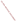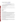# **Consumer Factsheet on: TOLUENE**

# [List of Contaminants](http://www.epa.gov/safewater/hfacts.html)

 As part of the Drinking Water and Health pages, this fact sheet is part of a larger publication: **National Primary Drinking Water Regulations** 

 States Environmental Protection Agency (EPA). This is a factsheet about a chemical that may be found in some public or private drinking water supplies. It may cause health problems if found in amounts greater than the health standard set by the United

#### **What is Toluene and how is it used?**

Toluene is an organic liquid with a sweet, benzene-like odor. The largest chemical use for toluene is to make benzene and urethane.

 The list of trade names given below may help you find out whether you are using this chemical at home or work.

# **Trade Names and Synonyms:**

 Antisal 1A Methylbenzene Methacide Phenylmethane Toluol

# **Why is Toluene being Regulated?**

 based solely on possible health risks and exposure, are called Maximum Contaminant Level Goals. In 1974, Congress passed the Safe Drinking Water Act. This law requires EPA to determine safe levels of chemicals in drinking water which do or may cause health problems. These non-enforceable levels,

 The MCLG for toluene has been set at 1 parts per million (ppm) because EPA believes this level of protection would not cause any of the potential health problems described below.

 Based on this MCLG, EPA has set an enforceable standard called a Maximum Contaminant Level (MCL). MCLs are set as close to the MCLGs as possible, considering the ability of public water systems to detect and remove contaminants using suitable treatment technologies.

 should it occur in drinking water. The MCL has also been set at 1 ppm because EPA believes, given present technology and resources, this is the lowest level to which water systems can reasonably be required to remove this contaminant

These drinking water standards and the regulations for ensuring these standards are met, are called National Primary Drinking Water Regulations. All public water supplies must abide by these regulations.

#### **What are the Health Effects?**

 Short-term: EPA has found toluene to potentially cause the following health effects when people are exposed to it at levels above the MCL for relatively short periods of time: minor nervous system disorders such as fatigue, nausea, weakness, confusion.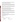hearing, vision, memory, coordination; liver and kidney damage. Long-term: Toluene has the potential to cause the following effects from a lifetime exposure at levels above the MCL: more pronounced nervous disorders such as spasms, tremors, impairment of speech,

#### **How much Toluene is produced and released to the environment?**

 Production of toluene was 6.4 billion lbs in 1993. It is released into the atmosphere principally from the It is also released in wastewaters or by spills on land during the storage, transport and disposal of fuels volatilization of petroleum fuels and toluene-based solvents and thinners and from motor vehicle exhaust. and oils.

 From 1987 to 1993, according to EPA's Toxic Chemical Release Inventory, toluene releases to land and water totalled over 4 million lbs., primarily from petroleum refining industries. The largest releases occurred in Texas and California. The largest releases directly to water occurred in Connecticut and West Virginia.

# **What happens to Toluene when it is released to the environment?**

 groundwater. Its breakdown by soil microbes is slow. Toluene evaporates within a few hours when Toluene released to soil will be lost by evaporation from near-surface soil and by leaching to the released to water, and it has little tendency to accumulate in aquatic life.

# **How will Toluene be Detected in and Removed from My Drinking Water?**

 supplier to collect water samples every 3 months for one year and analyze them to find out if toluene is contaminant. The regulation for toluene became effective in 1992. Between 1993 and 1995, EPA required your water present above 0.5 ppb. If it is present above this level, the system must continue to monitor this

 Packed Tower Aeration. If contaminant levels are found to be consistently above the MCL, your water supplier must take steps to reduce the amount of toluene so that it is consistently below that level. The following treatment methods have been approved by EPA for removing toluene: Granular activated charcoal in combination with

#### **How will I know if Toluene is in my drinking water?**

 If the levels of toluene exceed the MCL, 1 ppm, the system must notify the public via newspapers, radio, required to prevent serious risks to public health. TV and other means. Additional actions, such as providing alternative drinking water supplies, may be

#### **Drinking Water Standards:**

Mclg: 1 ppm<br>Mcl: 1 ppm

# **Toluene Releases to Water and Land, 1987 to 1993 (in pounds): Water Land**

|                     | Water   | Land      |
|---------------------|---------|-----------|
| TOTALS* (in pounds) | 732.310 | 3,672,041 |
| Top Ten States*     |         |           |
| TX                  | 16.285  | 969.210   |
| CA                  |         | 930.000   |
| CT                  | 316,068 |           |